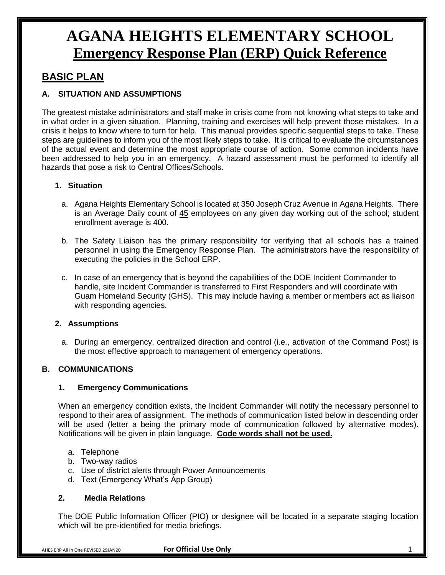### **BASIC PLAN**

#### **A. SITUATION AND ASSUMPTIONS**

The greatest mistake administrators and staff make in crisis come from not knowing what steps to take and in what order in a given situation. Planning, training and exercises will help prevent those mistakes. In a crisis it helps to know where to turn for help. This manual provides specific sequential steps to take. These steps are guidelines to inform you of the most likely steps to take. It is critical to evaluate the circumstances of the actual event and determine the most appropriate course of action. Some common incidents have been addressed to help you in an emergency. A hazard assessment must be performed to identify all hazards that pose a risk to Central Offices/Schools.

#### **1. Situation**

- a. Agana Heights Elementary School is located at 350 Joseph Cruz Avenue in Agana Heights. There is an Average Daily count of 45 employees on any given day working out of the school; student enrollment average is 400.
- b. The Safety Liaison has the primary responsibility for verifying that all schools has a trained personnel in using the Emergency Response Plan. The administrators have the responsibility of executing the policies in the School ERP.
- c. In case of an emergency that is beyond the capabilities of the DOE Incident Commander to handle, site Incident Commander is transferred to First Responders and will coordinate with Guam Homeland Security (GHS). This may include having a member or members act as liaison with responding agencies.

#### **2. Assumptions**

a. During an emergency, centralized direction and control (i.e., activation of the Command Post) is the most effective approach to management of emergency operations.

#### **B. COMMUNICATIONS**

#### **1. Emergency Communications**

When an emergency condition exists, the Incident Commander will notify the necessary personnel to respond to their area of assignment. The methods of communication listed below in descending order will be used (letter a being the primary mode of communication followed by alternative modes). Notifications will be given in plain language. **Code words shall not be used.**

- a. Telephone
- b. Two-way radios
- c. Use of district alerts through Power Announcements
- d. Text (Emergency What's App Group)

#### **2. Media Relations**

The DOE Public Information Officer (PIO) or designee will be located in a separate staging location which will be pre-identified for media briefings.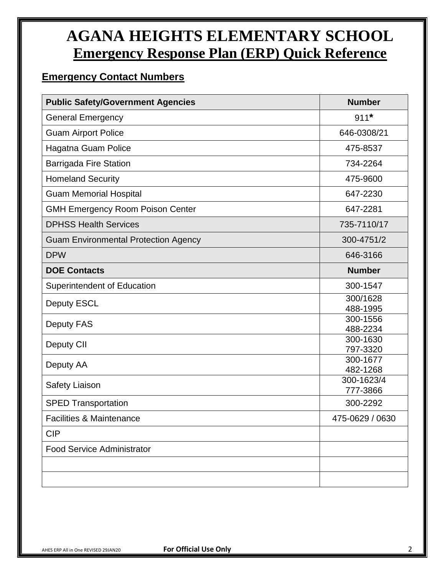### **Emergency Contact Numbers**

| <b>Public Safety/Government Agencies</b>    | <b>Number</b>          |
|---------------------------------------------|------------------------|
| <b>General Emergency</b>                    | $911*$                 |
| <b>Guam Airport Police</b>                  | 646-0308/21            |
| Hagatna Guam Police                         | 475-8537               |
| <b>Barrigada Fire Station</b>               | 734-2264               |
| <b>Homeland Security</b>                    | 475-9600               |
| <b>Guam Memorial Hospital</b>               | 647-2230               |
| <b>GMH Emergency Room Poison Center</b>     | 647-2281               |
| <b>DPHSS Health Services</b>                | 735-7110/17            |
| <b>Guam Environmental Protection Agency</b> | 300-4751/2             |
| <b>DPW</b>                                  | 646-3166               |
| <b>DOE Contacts</b>                         | <b>Number</b>          |
| Superintendent of Education                 | 300-1547               |
| <b>Deputy ESCL</b>                          | 300/1628<br>488-1995   |
| <b>Deputy FAS</b>                           | 300-1556<br>488-2234   |
| Deputy CII                                  | 300-1630<br>797-3320   |
| Deputy AA                                   | 300-1677<br>482-1268   |
| Safety Liaison                              | 300-1623/4<br>777-3866 |
| <b>SPED Transportation</b>                  | 300-2292               |
| <b>Facilities &amp; Maintenance</b>         | 475-0629 / 0630        |
| <b>CIP</b>                                  |                        |
| <b>Food Service Administrator</b>           |                        |
|                                             |                        |
|                                             |                        |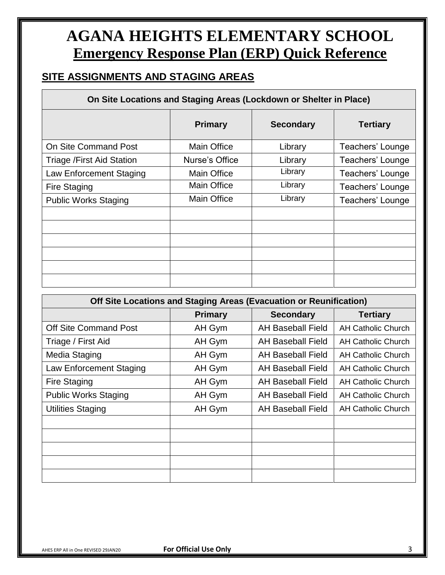### **SITE ASSIGNMENTS AND STAGING AREAS**

#### **On Site Locations and Staging Areas (Lockdown or Shelter in Place)**

|                             | <b>Primary</b>     | <b>Secondary</b> | <b>Tertiary</b>  |
|-----------------------------|--------------------|------------------|------------------|
| <b>On Site Command Post</b> | <b>Main Office</b> | Library          | Teachers' Lounge |
| Triage / First Aid Station  | Nurse's Office     | Library          | Teachers' Lounge |
| Law Enforcement Staging     | <b>Main Office</b> | Library          | Teachers' Lounge |
| <b>Fire Staging</b>         | <b>Main Office</b> | Library          | Teachers' Lounge |
| <b>Public Works Staging</b> | <b>Main Office</b> | Library          | Teachers' Lounge |
|                             |                    |                  |                  |
|                             |                    |                  |                  |
|                             |                    |                  |                  |
|                             |                    |                  |                  |
|                             |                    |                  |                  |
|                             |                    |                  |                  |

| Off Site Locations and Staging Areas (Evacuation or Reunification) |                |                          |                           |
|--------------------------------------------------------------------|----------------|--------------------------|---------------------------|
|                                                                    | <b>Primary</b> | <b>Secondary</b>         | <b>Tertiary</b>           |
| <b>Off Site Command Post</b>                                       | AH Gym         | <b>AH Baseball Field</b> | <b>AH Catholic Church</b> |
| Triage / First Aid                                                 | AH Gym         | <b>AH Baseball Field</b> | <b>AH Catholic Church</b> |
| Media Staging                                                      | AH Gym         | AH Baseball Field        | <b>AH Catholic Church</b> |
| Law Enforcement Staging                                            | AH Gym         | <b>AH Baseball Field</b> | <b>AH Catholic Church</b> |
| Fire Staging                                                       | AH Gym         | <b>AH Baseball Field</b> | AH Catholic Church        |
| <b>Public Works Staging</b>                                        | AH Gym         | <b>AH Baseball Field</b> | <b>AH Catholic Church</b> |
| <b>Utilities Staging</b>                                           | AH Gym         | <b>AH Baseball Field</b> | <b>AH Catholic Church</b> |
|                                                                    |                |                          |                           |
|                                                                    |                |                          |                           |
|                                                                    |                |                          |                           |
|                                                                    |                |                          |                           |
|                                                                    |                |                          |                           |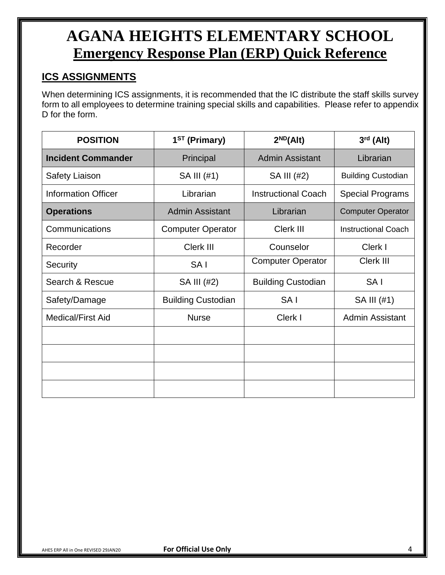### **ICS ASSIGNMENTS**

When determining ICS assignments, it is recommended that the IC distribute the staff skills survey form to all employees to determine training special skills and capabilities. Please refer to appendix D for the form.

| <b>POSITION</b>            | 1 <sup>ST</sup> (Primary) | $2^{ND}(Alt)$              | $3rd$ (Alt)                |
|----------------------------|---------------------------|----------------------------|----------------------------|
| <b>Incident Commander</b>  | Principal                 | <b>Admin Assistant</b>     | Librarian                  |
| <b>Safety Liaison</b>      | SA III (#1)               | SA III (#2)                | <b>Building Custodian</b>  |
| <b>Information Officer</b> | Librarian                 | <b>Instructional Coach</b> | <b>Special Programs</b>    |
| <b>Operations</b>          | <b>Admin Assistant</b>    | Librarian                  | <b>Computer Operator</b>   |
| Communications             | <b>Computer Operator</b>  | Clerk III                  | <b>Instructional Coach</b> |
| Recorder                   | Clerk III                 | Counselor                  | Clerk I                    |
| Security                   | SA <sub>I</sub>           | <b>Computer Operator</b>   | Clerk III                  |
| Search & Rescue            | SA III (#2)               | <b>Building Custodian</b>  | SA <sub>I</sub>            |
| Safety/Damage              | <b>Building Custodian</b> | SA <sub>I</sub>            | SA III (#1)                |
| <b>Medical/First Aid</b>   | <b>Nurse</b>              | Clerk I                    | <b>Admin Assistant</b>     |
|                            |                           |                            |                            |
|                            |                           |                            |                            |
|                            |                           |                            |                            |
|                            |                           |                            |                            |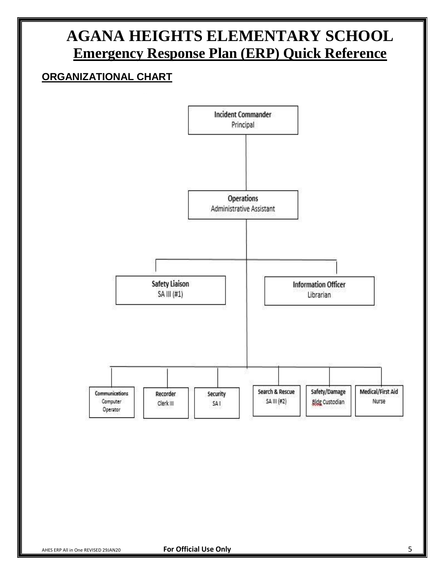### **ORGANIZATIONAL CHART**

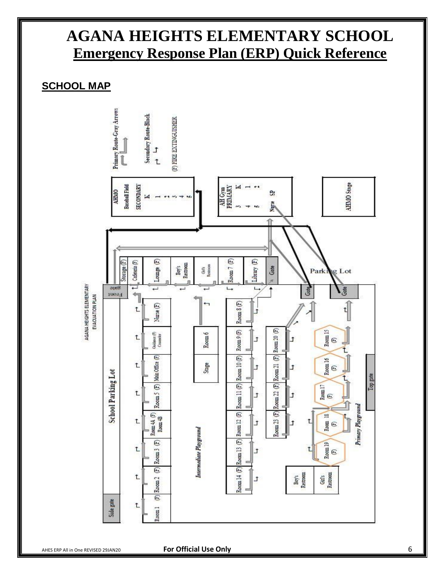#### **SCHOOL MAP**

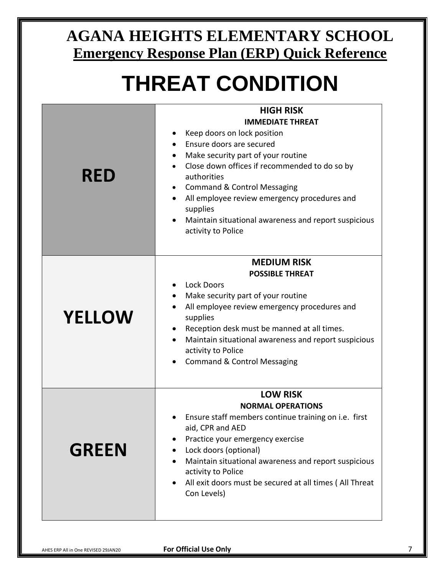# **THREAT CONDITION**

|               | <b>HIGH RISK</b>                                                         |  |
|---------------|--------------------------------------------------------------------------|--|
|               | <b>IMMEDIATE THREAT</b>                                                  |  |
|               | Keep doors on lock position                                              |  |
|               | Ensure doors are secured                                                 |  |
|               | Make security part of your routine                                       |  |
|               | Close down offices if recommended to do so by                            |  |
| <b>RED</b>    | authorities                                                              |  |
|               | <b>Command &amp; Control Messaging</b><br>$\bullet$                      |  |
|               | All employee review emergency procedures and<br>supplies                 |  |
|               | Maintain situational awareness and report suspicious                     |  |
|               | activity to Police                                                       |  |
|               |                                                                          |  |
|               | <b>MEDIUM RISK</b>                                                       |  |
|               | <b>POSSIBLE THREAT</b>                                                   |  |
|               | <b>Lock Doors</b>                                                        |  |
|               | Make security part of your routine                                       |  |
|               | All employee review emergency procedures and                             |  |
| <b>YELLOW</b> | supplies                                                                 |  |
|               | Reception desk must be manned at all times.                              |  |
|               | Maintain situational awareness and report suspicious<br>$\bullet$        |  |
|               | activity to Police                                                       |  |
|               | <b>Command &amp; Control Messaging</b>                                   |  |
|               |                                                                          |  |
|               | <b>LOW RISK</b>                                                          |  |
|               | <b>NORMAL OPERATIONS</b>                                                 |  |
|               | Ensure staff members continue training on i.e. first<br>aid, CPR and AED |  |
|               | Practice your emergency exercise                                         |  |
| <b>GREEN</b>  | Lock doors (optional)                                                    |  |
|               | Maintain situational awareness and report suspicious                     |  |
|               | activity to Police                                                       |  |
|               | All exit doors must be secured at all times (All Threat<br>Con Levels)   |  |
|               |                                                                          |  |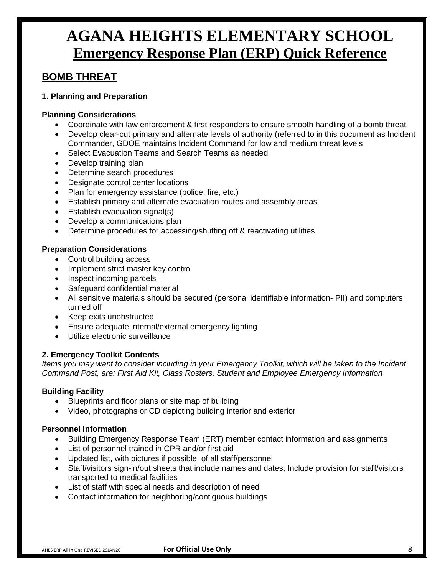#### **BOMB THREAT**

#### **1. Planning and Preparation**

#### **Planning Considerations**

- Coordinate with law enforcement & first responders to ensure smooth handling of a bomb threat
- Develop clear-cut primary and alternate levels of authority (referred to in this document as Incident Commander, GDOE maintains Incident Command for low and medium threat levels
- Select Evacuation Teams and Search Teams as needed
- Develop training plan
- Determine search procedures
- Designate control center locations
- Plan for emergency assistance (police, fire, etc.)
- Establish primary and alternate evacuation routes and assembly areas
- Establish evacuation signal(s)
- Develop a communications plan
- Determine procedures for accessing/shutting off & reactivating utilities

#### **Preparation Considerations**

- Control building access
- Implement strict master key control
- Inspect incoming parcels
- Safeguard confidential material
- All sensitive materials should be secured (personal identifiable information- PII) and computers turned off
- Keep exits unobstructed
- Ensure adequate internal/external emergency lighting
- Utilize electronic surveillance

#### **2. Emergency Toolkit Contents**

*Items you may want to consider including in your Emergency Toolkit, which will be taken to the Incident Command Post, are: First Aid Kit, Class Rosters, Student and Employee Emergency Information*

#### **Building Facility**

- Blueprints and floor plans or site map of building
- Video, photographs or CD depicting building interior and exterior

#### **Personnel Information**

- Building Emergency Response Team (ERT) member contact information and assignments
- List of personnel trained in CPR and/or first aid
- Updated list, with pictures if possible, of all staff/personnel
- Staff/visitors sign-in/out sheets that include names and dates; Include provision for staff/visitors transported to medical facilities
- List of staff with special needs and description of need
- Contact information for neighboring/contiguous buildings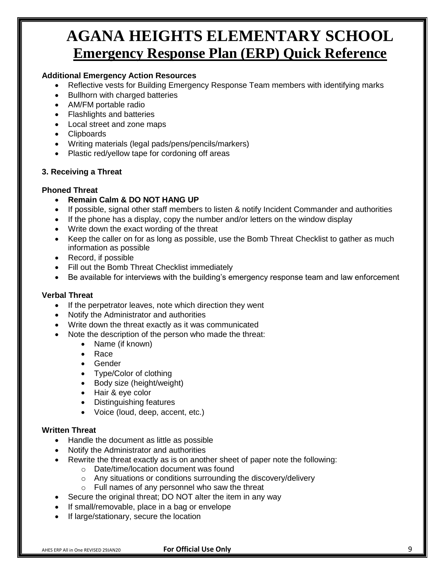#### **Additional Emergency Action Resources**

- Reflective vests for Building Emergency Response Team members with identifying marks
- Bullhorn with charged batteries
- AM/FM portable radio
- Flashlights and batteries
- Local street and zone maps
- Clipboards
- Writing materials (legal pads/pens/pencils/markers)
- Plastic red/yellow tape for cordoning off areas

#### **3. Receiving a Threat**

#### **Phoned Threat**

- **Remain Calm & DO NOT HANG UP**
- If possible, signal other staff members to listen & notify Incident Commander and authorities
- If the phone has a display, copy the number and/or letters on the window display
- Write down the exact wording of the threat
- Keep the caller on for as long as possible, use the Bomb Threat Checklist to gather as much information as possible
- Record, if possible
- Fill out the Bomb Threat Checklist immediately
- Be available for interviews with the building's emergency response team and law enforcement

#### **Verbal Threat**

- If the perpetrator leaves, note which direction they went
- Notify the Administrator and authorities
- Write down the threat exactly as it was communicated
- Note the description of the person who made the threat:
	- Name (if known)
		- Race
		- Gender
		- Type/Color of clothing
		- Body size (height/weight)
		- Hair & eye color
		- Distinguishing features
		- Voice (loud, deep, accent, etc.)

#### **Written Threat**

- Handle the document as little as possible
- Notify the Administrator and authorities
- Rewrite the threat exactly as is on another sheet of paper note the following:
	- o Date/time/location document was found
	- o Any situations or conditions surrounding the discovery/delivery
	- $\circ$  Full names of any personnel who saw the threat
- Secure the original threat; DO NOT alter the item in any way
- If small/removable, place in a bag or envelope
- If large/stationary, secure the location

AHES ERP All in One REVISED 29JAN20 **For Official Use Only** 9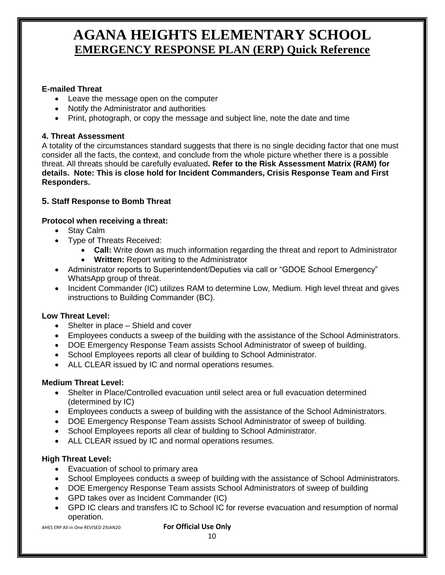#### **E-mailed Threat**

- Leave the message open on the computer
- Notify the Administrator and authorities
- Print, photograph, or copy the message and subject line, note the date and time

#### **4. Threat Assessment**

A totality of the circumstances standard suggests that there is no single deciding factor that one must consider all the facts, the context, and conclude from the whole picture whether there is a possible threat. All threats should be carefully evaluated**. Refer to the Risk Assessment Matrix (RAM) for details. Note: This is close hold for Incident Commanders, Crisis Response Team and First Responders.**

#### **5. Staff Response to Bomb Threat**

#### **Protocol when receiving a threat:**

- Stay Calm
- Type of Threats Received:
	- **Call:** Write down as much information regarding the threat and report to Administrator
	- **Written:** Report writing to the Administrator
- Administrator reports to Superintendent/Deputies via call or "GDOE School Emergency" WhatsApp group of threat.
- Incident Commander (IC) utilizes RAM to determine Low, Medium. High level threat and gives instructions to Building Commander (BC).

#### **Low Threat Level:**

- Shelter in place Shield and cover
- Employees conducts a sweep of the building with the assistance of the School Administrators.
- DOE Emergency Response Team assists School Administrator of sweep of building.
- School Employees reports all clear of building to School Administrator.
- ALL CLEAR issued by IC and normal operations resumes.

#### **Medium Threat Level:**

- Shelter in Place/Controlled evacuation until select area or full evacuation determined (determined by IC)
- Employees conducts a sweep of building with the assistance of the School Administrators.
- DOE Emergency Response Team assists School Administrator of sweep of building.
- School Employees reports all clear of building to School Administrator.
- ALL CLEAR issued by IC and normal operations resumes.

#### **High Threat Level:**

- Evacuation of school to primary area
- School Employees conducts a sweep of building with the assistance of School Administrators.
- DOE Emergency Response Team assists School Administrators of sweep of building
- GPD takes over as Incident Commander (IC)
- GPD IC clears and transfers IC to School IC for reverse evacuation and resumption of normal operation.

AHES ERP All in One REVISED 29JAN20 **For Official Use Only**

10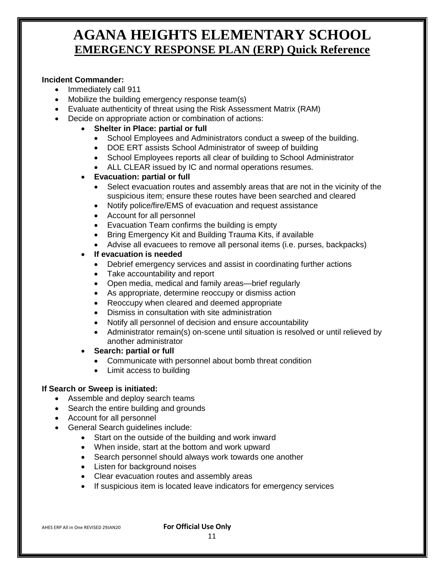#### **Incident Commander:**

- Immediately call 911
- Mobilize the building emergency response team(s)
- Evaluate authenticity of threat using the Risk Assessment Matrix (RAM)
- Decide on appropriate action or combination of actions:
	- **Shelter in Place: partial or full** 
		- School Employees and Administrators conduct a sweep of the building.
		- DOE ERT assists School Administrator of sweep of building
		- School Employees reports all clear of building to School Administrator
		- ALL CLEAR issued by IC and normal operations resumes.
		- **Evacuation: partial or full**
			- Select evacuation routes and assembly areas that are not in the vicinity of the suspicious item; ensure these routes have been searched and cleared
			- Notify police/fire/EMS of evacuation and request assistance
			- Account for all personnel
			- Evacuation Team confirms the building is empty
			- Bring Emergency Kit and Building Trauma Kits, if available
			- Advise all evacuees to remove all personal items (i.e. purses, backpacks)
		- **If evacuation is needed**
			- Debrief emergency services and assist in coordinating further actions
			- Take accountability and report
			- Open media, medical and family areas—brief regularly
			- As appropriate, determine reoccupy or dismiss action
			- Reoccupy when cleared and deemed appropriate
			- Dismiss in consultation with site administration
			- Notify all personnel of decision and ensure accountability
			- Administrator remain(s) on-scene until situation is resolved or until relieved by another administrator
		- **Search: partial or full**
			- Communicate with personnel about bomb threat condition
			- Limit access to building

#### **If Search or Sweep is initiated:**

- Assemble and deploy search teams
- Search the entire building and grounds
- Account for all personnel
- General Search guidelines include:
	- Start on the outside of the building and work inward
	- When inside, start at the bottom and work upward
	- Search personnel should always work towards one another
	- Listen for background noises
	- Clear evacuation routes and assembly areas
	- If suspicious item is located leave indicators for emergency services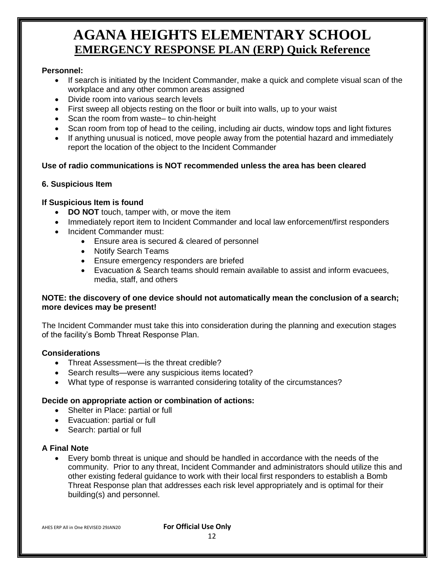#### **Personnel:**

- If search is initiated by the Incident Commander, make a quick and complete visual scan of the workplace and any other common areas assigned
- Divide room into various search levels
- First sweep all objects resting on the floor or built into walls, up to your waist
- Scan the room from waste– to chin-height
- Scan room from top of head to the ceiling, including air ducts, window tops and light fixtures
- If anything unusual is noticed, move people away from the potential hazard and immediately report the location of the object to the Incident Commander

#### **Use of radio communications is NOT recommended unless the area has been cleared**

#### **6. Suspicious Item**

#### **If Suspicious Item is found**

- **DO NOT** touch, tamper with, or move the item
- Immediately report item to Incident Commander and local law enforcement/first responders
- Incident Commander must:
	- Ensure area is secured & cleared of personnel
	- Notify Search Teams
	- **Ensure emergency responders are briefed**
	- Evacuation & Search teams should remain available to assist and inform evacuees, media, staff, and others

#### **NOTE: the discovery of one device should not automatically mean the conclusion of a search; more devices may be present!**

The Incident Commander must take this into consideration during the planning and execution stages of the facility's Bomb Threat Response Plan.

#### **Considerations**

- Threat Assessment—is the threat credible?
- Search results—were any suspicious items located?
- What type of response is warranted considering totality of the circumstances?

#### **Decide on appropriate action or combination of actions:**

- Shelter in Place: partial or full
- Evacuation: partial or full
- Search: partial or full

#### **A Final Note**

 Every bomb threat is unique and should be handled in accordance with the needs of the community. Prior to any threat, Incident Commander and administrators should utilize this and other existing federal guidance to work with their local first responders to establish a Bomb Threat Response plan that addresses each risk level appropriately and is optimal for their building(s) and personnel.

12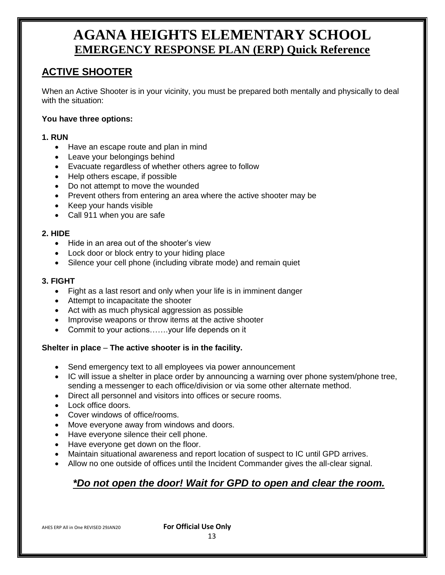### **ACTIVE SHOOTER**

When an Active Shooter is in your vicinity, you must be prepared both mentally and physically to deal with the situation:

#### **You have three options:**

#### **1. RUN**

- Have an escape route and plan in mind
- Leave your belongings behind
- Evacuate regardless of whether others agree to follow
- Help others escape, if possible
- Do not attempt to move the wounded
- Prevent others from entering an area where the active shooter may be
- Keep your hands visible
- Call 911 when you are safe

#### **2. HIDE**

- Hide in an area out of the shooter's view
- Lock door or block entry to your hiding place
- Silence your cell phone (including vibrate mode) and remain quiet

#### **3. FIGHT**

- Fight as a last resort and only when your life is in imminent danger
- Attempt to incapacitate the shooter
- Act with as much physical aggression as possible
- Improvise weapons or throw items at the active shooter
- Commit to your actions…….your life depends on it

#### **Shelter in place** – **The active shooter is in the facility.**

- Send emergency text to all employees via power announcement
- IC will issue a shelter in place order by announcing a warning over phone system/phone tree, sending a messenger to each office/division or via some other alternate method.
- Direct all personnel and visitors into offices or secure rooms.
- Lock office doors.
- Cover windows of office/rooms.
- Move everyone away from windows and doors.
- Have everyone silence their cell phone.
- Have everyone get down on the floor.
- Maintain situational awareness and report location of suspect to IC until GPD arrives.
- Allow no one outside of offices until the Incident Commander gives the all-clear signal.

### *\*Do not open the door! Wait for GPD to open and clear the room.*

AHES ERP All in One REVISED 29JAN20 **For Official Use Only**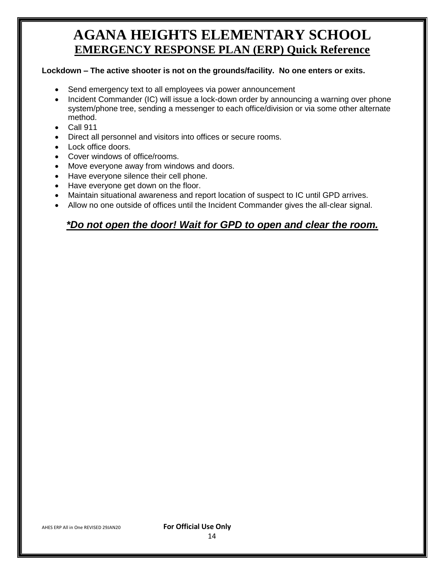#### **Lockdown – The active shooter is not on the grounds/facility. No one enters or exits.**

- Send emergency text to all employees via power announcement
- Incident Commander (IC) will issue a lock-down order by announcing a warning over phone system/phone tree, sending a messenger to each office/division or via some other alternate method.
- $\bullet$  Call 911
- Direct all personnel and visitors into offices or secure rooms.
- Lock office doors.
- Cover windows of office/rooms.
- Move everyone away from windows and doors.
- Have everyone silence their cell phone.
- Have everyone get down on the floor.
- Maintain situational awareness and report location of suspect to IC until GPD arrives.
- Allow no one outside of offices until the Incident Commander gives the all-clear signal.

#### *\*Do not open the door! Wait for GPD to open and clear the room.*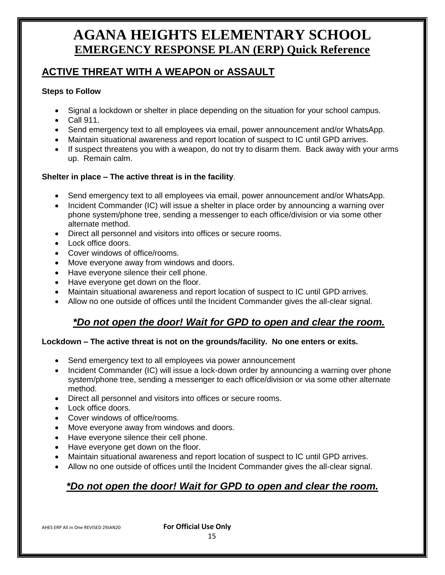### **ACTIVE THREAT WITH A WEAPON or ASSAULT**

#### **Steps to Follow**

- Signal a lockdown or shelter in place depending on the situation for your school campus.
- Call 911.
- Send emergency text to all employees via email, power announcement and/or WhatsApp.
- Maintain situational awareness and report location of suspect to IC until GPD arrives.
- If suspect threatens you with a weapon, do not try to disarm them. Back away with your arms up. Remain calm.

#### **Shelter in place – The active threat is in the facility**.

- Send emergency text to all employees via email, power announcement and/or WhatsApp.
- Incident Commander (IC) will issue a shelter in place order by announcing a warning over phone system/phone tree, sending a messenger to each office/division or via some other alternate method.
- Direct all personnel and visitors into offices or secure rooms.
- Lock office doors.
- Cover windows of office/rooms.
- Move everyone away from windows and doors.
- Have everyone silence their cell phone.
- Have everyone get down on the floor.
- Maintain situational awareness and report location of suspect to IC until GPD arrives.
- Allow no one outside of offices until the Incident Commander gives the all-clear signal.

#### *\*Do not open the door! Wait for GPD to open and clear the room.*

#### **Lockdown – The active threat is not on the grounds/facility. No one enters or exits.**

- Send emergency text to all employees via power announcement
- Incident Commander (IC) will issue a lock-down order by announcing a warning over phone system/phone tree, sending a messenger to each office/division or via some other alternate method.
- Direct all personnel and visitors into offices or secure rooms.
- Lock office doors.
- Cover windows of office/rooms.
- Move everyone away from windows and doors.
- Have everyone silence their cell phone.
- Have everyone get down on the floor.
- Maintain situational awareness and report location of suspect to IC until GPD arrives.
- Allow no one outside of offices until the Incident Commander gives the all-clear signal.

### *\*Do not open the door! Wait for GPD to open and clear the room.*

AHES ERP All in One REVISED 29JAN20 **For Official Use Only**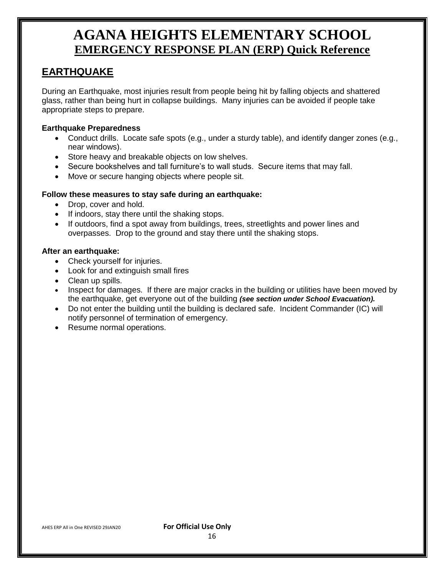### **EARTHQUAKE**

During an Earthquake, most injuries result from people being hit by falling objects and shattered glass, rather than being hurt in collapse buildings. Many injuries can be avoided if people take appropriate steps to prepare.

#### **Earthquake Preparedness**

- Conduct drills. Locate safe spots (e.g., under a sturdy table), and identify danger zones (e.g., near windows).
- Store heavy and breakable objects on low shelves.
- Secure bookshelves and tall furniture's to wall studs. Secure items that may fall.
- Move or secure hanging objects where people sit.

#### **Follow these measures to stay safe during an earthquake:**

- Drop, cover and hold.
- If indoors, stay there until the shaking stops.
- If outdoors, find a spot away from buildings, trees, streetlights and power lines and overpasses. Drop to the ground and stay there until the shaking stops.

#### **After an earthquake:**

- Check yourself for injuries.
- Look for and extinguish small fires
- Clean up spills.
- Inspect for damages. If there are major cracks in the building or utilities have been moved by the earthquake, get everyone out of the building *(see section under School Evacuation).*
- Do not enter the building until the building is declared safe. Incident Commander (IC) will notify personnel of termination of emergency.
- Resume normal operations.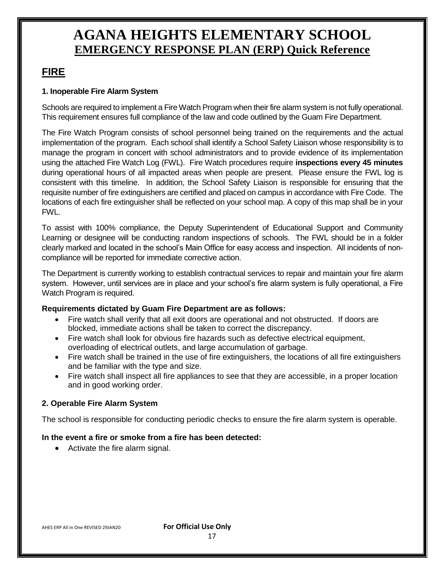#### **FIRE**

#### **1. Inoperable Fire Alarm System**

Schools are required to implement a Fire Watch Program when their fire alarm system is not fully operational. This requirement ensures full compliance of the law and code outlined by the Guam Fire Department.

The Fire Watch Program consists of school personnel being trained on the requirements and the actual implementation of the program. Each school shall identify a School Safety Liaison whose responsibility is to manage the program in concert with school administrators and to provide evidence of its implementation using the attached Fire Watch Log (FWL). Fire Watch procedures require **inspections every 45 minutes**  during operational hours of all impacted areas when people are present. Please ensure the FWL log is consistent with this timeline. In addition, the School Safety Liaison is responsible for ensuring that the requisite number of fire extinguishers are certified and placed on campus in accordance with Fire Code. The locations of each fire extinguisher shall be reflected on your school map. A copy of this map shall be in your FWL.

To assist with 100% compliance, the Deputy Superintendent of Educational Support and Community Learning or designee will be conducting random inspections of schools. The FWL should be in a folder clearly marked and located in the school's Main Office for easy access and inspection. All incidents of noncompliance will be reported for immediate corrective action.

The Department is currently working to establish contractual services to repair and maintain your fire alarm system. However, until services are in place and your school's fire alarm system is fully operational, a Fire Watch Program is required.

#### **Requirements dictated by Guam Fire Department are as follows:**

- Fire watch shall verify that all exit doors are operational and not obstructed. If doors are blocked, immediate actions shall be taken to correct the discrepancy.
- Fire watch shall look for obvious fire hazards such as defective electrical equipment, overloading of electrical outlets, and large accumulation of garbage.
- Fire watch shall be trained in the use of fire extinguishers, the locations of all fire extinguishers and be familiar with the type and size.
- Fire watch shall inspect all fire appliances to see that they are accessible, in a proper location and in good working order.

#### **2. Operable Fire Alarm System**

The school is responsible for conducting periodic checks to ensure the fire alarm system is operable.

#### **In the event a fire or smoke from a fire has been detected:**

• Activate the fire alarm signal.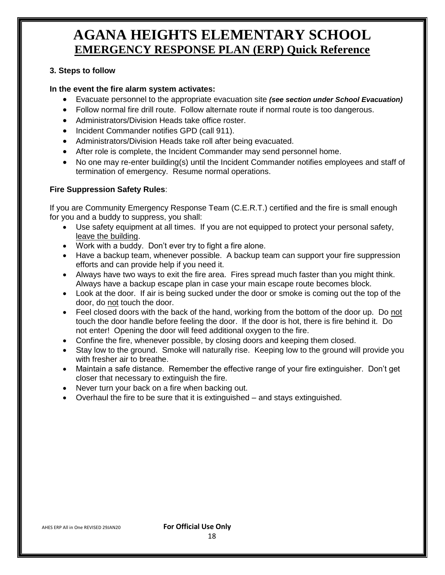#### **3. Steps to follow**

#### **In the event the fire alarm system activates:**

- Evacuate personnel to the appropriate evacuation site *(see section under School Evacuation)*
- Follow normal fire drill route. Follow alternate route if normal route is too dangerous.
- Administrators/Division Heads take office roster.
- Incident Commander notifies GPD (call 911).
- Administrators/Division Heads take roll after being evacuated.
- After role is complete, the Incident Commander may send personnel home.
- No one may re-enter building(s) until the Incident Commander notifies employees and staff of termination of emergency. Resume normal operations.

#### **Fire Suppression Safety Rules**:

If you are Community Emergency Response Team (C.E.R.T.) certified and the fire is small enough for you and a buddy to suppress, you shall:

- Use safety equipment at all times. If you are not equipped to protect your personal safety, leave the building.
- Work with a buddy. Don't ever try to fight a fire alone.
- Have a backup team, whenever possible. A backup team can support your fire suppression efforts and can provide help if you need it.
- Always have two ways to exit the fire area. Fires spread much faster than you might think. Always have a backup escape plan in case your main escape route becomes block.
- Look at the door. If air is being sucked under the door or smoke is coming out the top of the door, do not touch the door.
- Feel closed doors with the back of the hand, working from the bottom of the door up. Do not touch the door handle before feeling the door. If the door is hot, there is fire behind it. Do not enter! Opening the door will feed additional oxygen to the fire.
- Confine the fire, whenever possible, by closing doors and keeping them closed.
- Stay low to the ground. Smoke will naturally rise. Keeping low to the ground will provide you with fresher air to breathe.
- Maintain a safe distance. Remember the effective range of your fire extinguisher. Don't get closer that necessary to extinguish the fire.
- Never turn your back on a fire when backing out.
- Overhaul the fire to be sure that it is extinguished and stays extinguished.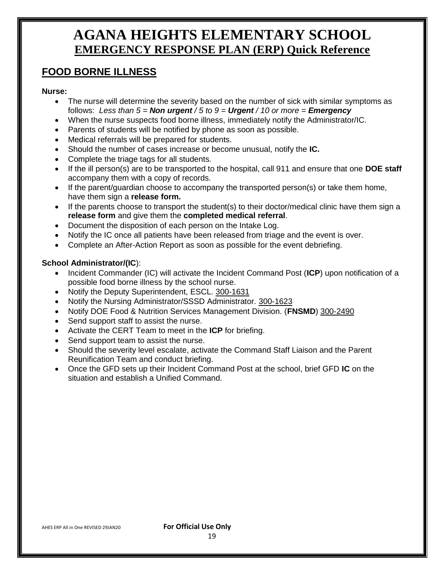#### **FOOD BORNE ILLNESS**

#### **Nurse:**

- The nurse will determine the severity based on the number of sick with similar symptoms as follows: *Less than 5 = Non urgent / 5 to 9 = Urgent / 10 or more = Emergency*
- When the nurse suspects food borne illness, immediately notify the Administrator/IC.
- Parents of students will be notified by phone as soon as possible.
- Medical referrals will be prepared for students.
- Should the number of cases increase or become unusual, notify the **IC.**
- Complete the triage tags for all students.
- If the ill person(s) are to be transported to the hospital, call 911 and ensure that one **DOE staff** accompany them with a copy of records.
- If the parent/guardian choose to accompany the transported person(s) or take them home, have them sign a **release form.**
- If the parents choose to transport the student(s) to their doctor/medical clinic have them sign a **release form** and give them the **completed medical referral**.
- Document the disposition of each person on the Intake Log.
- Notify the IC once all patients have been released from triage and the event is over.
- Complete an After-Action Report as soon as possible for the event debriefing.

#### **School Administrator/(IC**):

- Incident Commander (IC) will activate the Incident Command Post (ICP) upon notification of a possible food borne illness by the school nurse.
- Notify the Deputy Superintendent, ESCL. 300-1631
- Notify the Nursing Administrator/SSSD Administrator. 300-1623
- Notify DOE Food & Nutrition Services Management Division. (**FNSMD**) 300-2490
- Send support staff to assist the nurse.
- Activate the CERT Team to meet in the **ICP** for briefing.
- Send support team to assist the nurse.
- Should the severity level escalate, activate the Command Staff Liaison and the Parent Reunification Team and conduct briefing.
- Once the GFD sets up their Incident Command Post at the school, brief GFD **IC** on the situation and establish a Unified Command.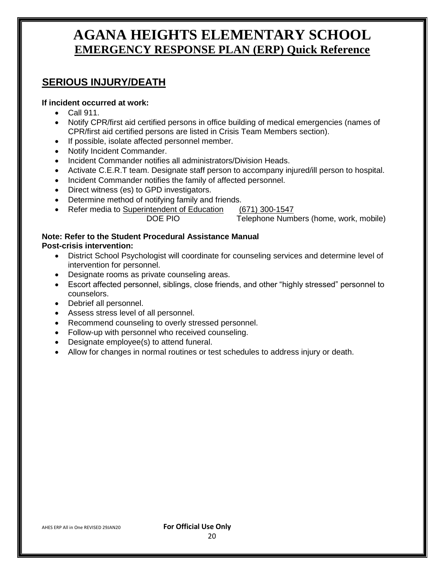#### **SERIOUS INJURY/DEATH**

#### **If incident occurred at work:**

- Call 911.
- Notify CPR/first aid certified persons in office building of medical emergencies (names of CPR/first aid certified persons are listed in Crisis Team Members section).
- If possible, isolate affected personnel member.
- Notify Incident Commander.
- Incident Commander notifies all administrators/Division Heads.
- Activate C.E.R.T team. Designate staff person to accompany injured/ill person to hospital.
- Incident Commander notifies the family of affected personnel.
- Direct witness (es) to GPD investigators.
- Determine method of notifying family and friends.
- Refer media to Superintendent of Education (671) 300-1547<br>DOE PIO Telephone Numl

Telephone Numbers (home, work, mobile)

#### **Note: Refer to the Student Procedural Assistance Manual Post-crisis intervention:**

- District School Psychologist will coordinate for counseling services and determine level of intervention for personnel.
- Designate rooms as private counseling areas.
- Escort affected personnel, siblings, close friends, and other "highly stressed" personnel to counselors.
- Debrief all personnel.
- Assess stress level of all personnel.
- Recommend counseling to overly stressed personnel.
- Follow-up with personnel who received counseling.
- Designate employee(s) to attend funeral.
- Allow for changes in normal routines or test schedules to address injury or death.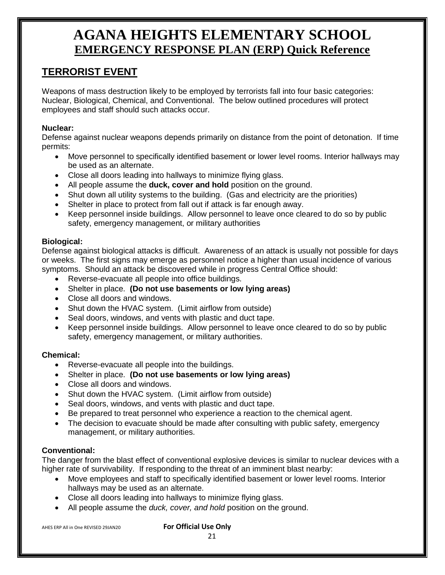### **TERRORIST EVENT**

Weapons of mass destruction likely to be employed by terrorists fall into four basic categories: Nuclear, Biological, Chemical, and Conventional. The below outlined procedures will protect employees and staff should such attacks occur.

#### **Nuclear:**

Defense against nuclear weapons depends primarily on distance from the point of detonation. If time permits:

- Move personnel to specifically identified basement or lower level rooms. Interior hallways may be used as an alternate.
- Close all doors leading into hallways to minimize flying glass.
- All people assume the **duck, cover and hold** position on the ground.
- Shut down all utility systems to the building. (Gas and electricity are the priorities)
- Shelter in place to protect from fall out if attack is far enough away.
- Keep personnel inside buildings. Allow personnel to leave once cleared to do so by public safety, emergency management, or military authorities

#### **Biological:**

Defense against biological attacks is difficult. Awareness of an attack is usually not possible for days or weeks. The first signs may emerge as personnel notice a higher than usual incidence of various symptoms. Should an attack be discovered while in progress Central Office should:

- Reverse-evacuate all people into office buildings.
- Shelter in place. **(Do not use basements or low lying areas)**
- Close all doors and windows.
- Shut down the HVAC system. (Limit airflow from outside)
- Seal doors, windows, and vents with plastic and duct tape.
- Keep personnel inside buildings. Allow personnel to leave once cleared to do so by public safety, emergency management, or military authorities.

#### **Chemical:**

- Reverse-evacuate all people into the buildings.
- Shelter in place. **(Do not use basements or low lying areas)**
- Close all doors and windows.
- Shut down the HVAC system. (Limit airflow from outside)
- Seal doors, windows, and vents with plastic and duct tape.
- Be prepared to treat personnel who experience a reaction to the chemical agent.
- The decision to evacuate should be made after consulting with public safety, emergency management, or military authorities.

#### **Conventional:**

The danger from the blast effect of conventional explosive devices is similar to nuclear devices with a higher rate of survivability. If responding to the threat of an imminent blast nearby:

- Move employees and staff to specifically identified basement or lower level rooms. Interior hallways may be used as an alternate.
- Close all doors leading into hallways to minimize flying glass.
- All people assume the *duck, cover, and hold* position on the ground.

21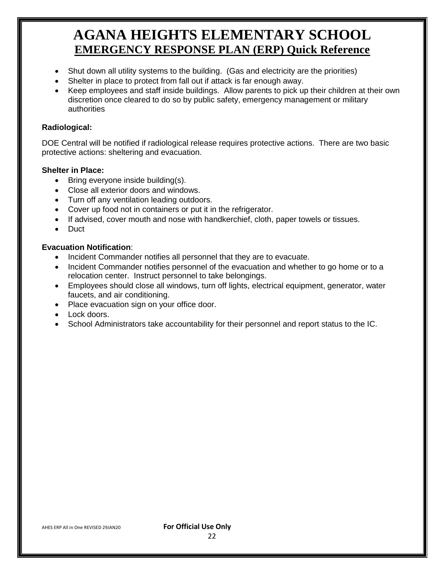- Shut down all utility systems to the building. (Gas and electricity are the priorities)
- Shelter in place to protect from fall out if attack is far enough away.
- Keep employees and staff inside buildings. Allow parents to pick up their children at their own discretion once cleared to do so by public safety, emergency management or military authorities

#### **Radiological:**

DOE Central will be notified if radiological release requires protective actions. There are two basic protective actions: sheltering and evacuation.

#### **Shelter in Place:**

- $\bullet$  Bring everyone inside building(s).
- Close all exterior doors and windows.
- Turn off any ventilation leading outdoors.
- Cover up food not in containers or put it in the refrigerator.
- If advised, cover mouth and nose with handkerchief, cloth, paper towels or tissues.
- Duct

#### **Evacuation Notification**:

- Incident Commander notifies all personnel that they are to evacuate.
- Incident Commander notifies personnel of the evacuation and whether to go home or to a relocation center. Instruct personnel to take belongings.
- Employees should close all windows, turn off lights, electrical equipment, generator, water faucets, and air conditioning.
- Place evacuation sign on your office door.
- Lock doors.
- School Administrators take accountability for their personnel and report status to the IC.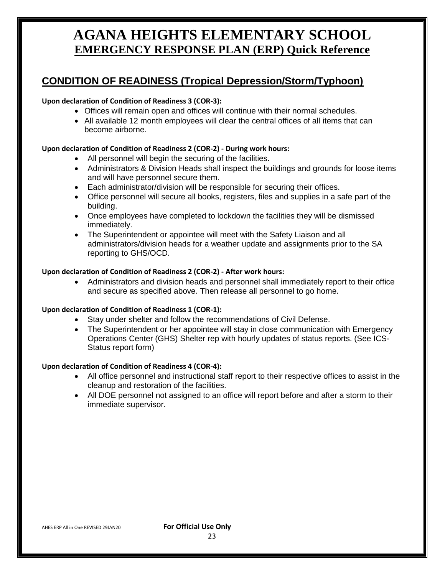### **CONDITION OF READINESS (Tropical Depression/Storm/Typhoon)**

#### **Upon declaration of Condition of Readiness 3 (COR-3):**

- Offices will remain open and offices will continue with their normal schedules.
- All available 12 month employees will clear the central offices of all items that can become airborne.

#### **Upon declaration of Condition of Readiness 2 (COR-2) - During work hours:**

- All personnel will begin the securing of the facilities.
- Administrators & Division Heads shall inspect the buildings and grounds for loose items and will have personnel secure them.
- Each administrator/division will be responsible for securing their offices.
- Office personnel will secure all books, registers, files and supplies in a safe part of the building.
- Once employees have completed to lockdown the facilities they will be dismissed immediately.
- The Superintendent or appointee will meet with the Safety Liaison and all administrators/division heads for a weather update and assignments prior to the SA reporting to GHS/OCD.

#### **Upon declaration of Condition of Readiness 2 (COR-2) - After work hours:**

 Administrators and division heads and personnel shall immediately report to their office and secure as specified above. Then release all personnel to go home.

#### **Upon declaration of Condition of Readiness 1 (COR-1):**

- Stay under shelter and follow the recommendations of Civil Defense.
- The Superintendent or her appointee will stay in close communication with Emergency Operations Center (GHS) Shelter rep with hourly updates of status reports. (See ICS-Status report form)

#### **Upon declaration of Condition of Readiness 4 (COR-4):**

- All office personnel and instructional staff report to their respective offices to assist in the cleanup and restoration of the facilities.
- All DOE personnel not assigned to an office will report before and after a storm to their immediate supervisor.